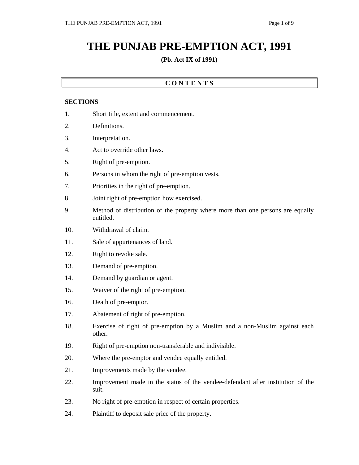# **THE PUNJAB PRE-EMPTION ACT, 1991**

#### **(Pb. Act IX of 1991)**

### **C O N T E N T S**

#### **SECTIONS**

- 1. Short title, extent and commencement.
- 2. Definitions.
- 3. Interpretation.
- 4. Act to override other laws.
- 5. Right of pre-emption.
- 6. Persons in whom the right of pre-emption vests.
- 7. Priorities in the right of pre-emption.
- 8. Joint right of pre-emption how exercised.
- 9. Method of distribution of the property where more than one persons are equally entitled.
- 10. Withdrawal of claim.
- 11. Sale of appurtenances of land.
- 12. Right to revoke sale.
- 13. Demand of pre-emption.
- 14. Demand by guardian or agent.
- 15. Waiver of the right of pre-emption.
- 16. Death of pre-emptor.
- 17. Abatement of right of pre-emption.
- 18. Exercise of right of pre-emption by a Muslim and a non-Muslim against each other.
- 19. Right of pre-emption non-transferable and indivisible.
- 20. Where the pre-emptor and vendee equally entitled.
- 21. Improvements made by the vendee.
- 22. Improvement made in the status of the vendee-defendant after institution of the suit.
- 23. No right of pre-emption in respect of certain properties.
- 24. Plaintiff to deposit sale price of the property.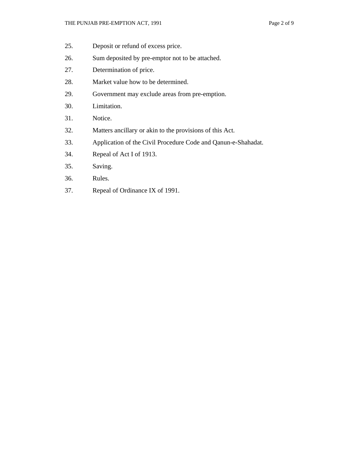- 25. Deposit or refund of excess price.
- 26. Sum deposited by pre-emptor not to be attached.
- 27. Determination of price.
- 28. Market value how to be determined.
- 29. Government may exclude areas from pre-emption.
- 30. Limitation.
- 31. Notice.
- 32. Matters ancillary or akin to the provisions of this Act.
- 33. Application of the Civil Procedure Code and Qanun-e-Shahadat.
- 34. Repeal of Act I of 1913.
- 35. Saving.
- 36. Rules.
- 37. Repeal of Ordinance IX of 1991.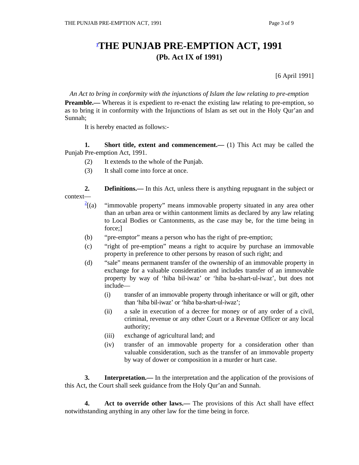## **1 THE PUNJAB PRE-EMPTION ACT, 1991 (Pb. Act IX of 1991)**

[6 April 1991]

*An Act to bring in conformity with the injunctions of Islam the law relating to pre-emption* 

**Preamble.**— Whereas it is expedient to re-enact the existing law relating to pre-emption, so as to bring it in conformity with the Injunctions of Islam as set out in the Holy Qur'an and Sunnah;

It is hereby enacted as follows:-

**1.** Short title, extent and commencement.— (1) This Act may be called the Punjab Pre-emption Act, 1991.

- (2) It extends to the whole of the Punjab.
- (3) It shall come into force at once.

**2. Definitions.**— In this Act, unless there is anything repugnant in the subject or context—

- $\frac{2}{2}$ [(a) "immovable property" means immovable property situated in any area other than an urban area or within cantonment limits as declared by any law relating to Local Bodies or Cantonments, as the case may be, for the time being in force;]
- (b) "pre-emptor" means a person who has the right of pre-emption;
- (c) "right of pre-emption" means a right to acquire by purchase an immovable property in preference to other persons by reason of such right; and
- (d) "sale" means permanent transfer of the ownership of an immovable property in exchange for a valuable consideration and includes transfer of an immovable property by way of 'hiba bil-iwaz' or 'hiba ba-shart-ul-iwaz', but does not include—
	- (i) transfer of an immovable property through inheritance or will or gift, other than 'hiba bil-iwaz' or 'hiba ba-shart-ul-iwaz';
	- (ii) a sale in execution of a decree for money or of any order of a civil, criminal, revenue or any other Court or a Revenue Officer or any local authority;
	- (iii) exchange of agricultural land; and
	- (iv) transfer of an immovable property for a consideration other than valuable consideration, such as the transfer of an immovable property by way of dower or composition in a murder or hurt case.

**3.** Interpretation.— In the interpretation and the application of the provisions of this Act, the Court shall seek guidance from the Holy Qur'an and Sunnah.

**4.** Act to override other laws.— The provisions of this Act shall have effect notwithstanding anything in any other law for the time being in force.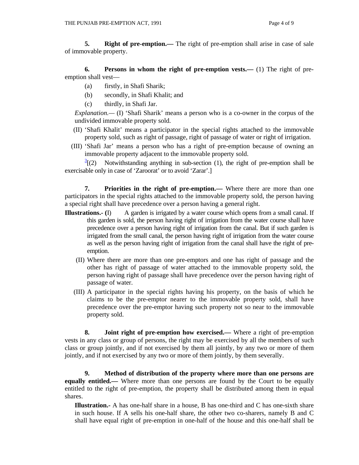**5.** Right of pre-emption.— The right of pre-emption shall arise in case of sale of immovable property.

 **6. Persons in whom the right of pre-emption vests.—** (1) The right of preemption shall vest—

- (a) firstly, in Shafi Sharik;
- (b) secondly, in Shafi Khalit; and
- (c) thirdly, in Shafi Jar.

 *Explanation.—* (I) 'Shafi Sharik' means a person who is a co-owner in the corpus of the undivided immovable property sold.

- (II) 'Shafi Khalit' means a participator in the special rights attached to the immovable property sold, such as right of passage, right of passage of water or right of irrigation.
- (III) 'Shafi Jar' means a person who has a right of pre-emption because of owning an immovable property adjacent to the immovable property sold.

 $\frac{3}{2}$ [(2) Notwithstanding anything in sub-section (1), the right of pre-emption shall be exercisable only in case of 'Zaroorat' or to avoid 'Zarar'.]

**7.** Priorities in the right of pre-emption.— Where there are more than one participators in the special rights attached to the immovable property sold, the person having a special right shall have precedence over a person having a general right.

- **Illustrations.** (I) A garden is irrigated by a water course which opens from a small canal. If this garden is sold, the person having right of irrigation from the water course shall have precedence over a person having right of irrigation from the canal. But if such garden is irrigated from the small canal, the person having right of irrigation from the water course as well as the person having right of irrigation from the canal shall have the right of preemption.
	- (II) Where there are more than one pre-emptors and one has right of passage and the other has right of passage of water attached to the immovable property sold, the person having right of passage shall have precedence over the person having right of passage of water.
	- (III) A participator in the special rights having his property, on the basis of which he claims to be the pre-emptor nearer to the immovable property sold, shall have precedence over the pre-emptor having such property not so near to the immovable property sold.

 **8. Joint right of pre-emption how exercised.—** Where a right of pre-emption vests in any class or group of persons, the right may be exercised by all the members of such class or group jointly, and if not exercised by them all jointly, by any two or more of them jointly, and if not exercised by any two or more of them jointly, by them severally.

 **9. Method of distribution of the property where more than one persons are equally entitled.—** Where more than one persons are found by the Court to be equally entitled to the right of pre-emption, the property shall be distributed among them in equal shares.

**Illustration.-** A has one-half share in a house, B has one-third and C has one-sixth share in such house. If A sells his one-half share, the other two co-sharers, namely B and C shall have equal right of pre-emption in one-half of the house and this one-half shall be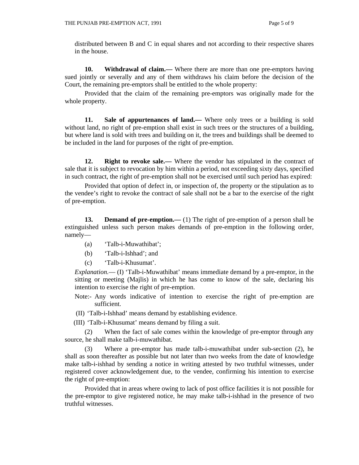distributed between B and C in equal shares and not according to their respective shares in the house.

**10. Withdrawal of claim.—** Where there are more than one pre-emptors having sued jointly or severally and any of them withdraws his claim before the decision of the Court, the remaining pre-emptors shall be entitled to the whole property:

 Provided that the claim of the remaining pre-emptors was originally made for the whole property.

**11.** Sale of appurtenances of land.— Where only trees or a building is sold without land, no right of pre-emption shall exist in such trees or the structures of a building, but where land is sold with trees and building on it, the trees and buildings shall be deemed to be included in the land for purposes of the right of pre-emption.

**12. Right to revoke sale.—** Where the vendor has stipulated in the contract of sale that it is subject to revocation by him within a period, not exceeding sixty days, specified in such contract, the right of pre-emption shall not be exercised until such period has expired:

 Provided that option of defect in, or inspection of, the property or the stipulation as to the vendee's right to revoke the contract of sale shall not be a bar to the exercise of the right of pre-emption.

**13. Demand of pre-emption.**— (1) The right of pre-emption of a person shall be extinguished unless such person makes demands of pre-emption in the following order, namely—

- (a) 'Talb-i-Muwathibat';
- (b) 'Talb-i-Ishhad'; and
- (c) 'Talb-i-Khusumat'.

*Explanation.*— (I) 'Talb-i-Muwathibat' means immediate demand by a pre-emptor, in the sitting or meeting (Majlis) in which he has come to know of the sale, declaring his intention to exercise the right of pre-emption.

- Note:- Any words indicative of intention to exercise the right of pre-emption are sufficient.
- (II) 'Talb-i-Ishhad' means demand by establishing evidence.

(III) 'Talb-i-Khusumat' means demand by filing a suit.

 (2) When the fact of sale comes within the knowledge of pre-emptor through any source, he shall make talb-i-muwathibat.

 (3) Where a pre-emptor has made talb-i-muwathibat under sub-section (2), he shall as soon thereafter as possible but not later than two weeks from the date of knowledge make talb-i-ishhad by sending a notice in writing attested by two truthful witnesses, under registered cover acknowledgement due, to the vendee, confirming his intention to exercise the right of pre-emption:

 Provided that in areas where owing to lack of post office facilities it is not possible for the pre-emptor to give registered notice, he may make talb-i-ishhad in the presence of two truthful witnesses.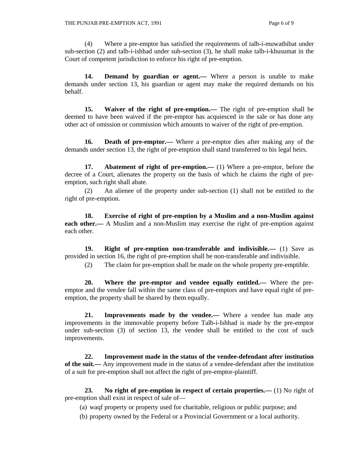(4) Where a pre-emptor has satisfied the requirements of talb-i-muwathibat under sub-section (2) and talb-i-ishhad under sub-section (3), he shall make talb-i-khusumat in the Court of competent jurisdiction to enforce his right of pre-emption.

14. **Demand by guardian or agent.**— Where a person is unable to make demands under section 13, his guardian or agent may make the required demands on his behalf.

 **15. Waiver of the right of pre-emption.—** The right of pre-emption shall be deemed to have been waived if the pre-emptor has acquiesced in the sale or has done any other act of omission or commission which amounts to waiver of the right of pre-emption.

16. **Death of pre-emptor.**— Where a pre-emptor dies after making any of the demands under section 13, the right of pre-emption shall stand transferred to his legal heirs.

 **17. Abatement of right of pre-emption.—** (1) Where a pre-emptor, before the decree of a Court, alienates the property on the basis of which he claims the right of preemption, such right shall abate.

 (2) An alienee of the property under sub-section (1) shall not be entitled to the right of pre-emption.

 **18. Exercise of right of pre-emption by a Muslim and a non-Muslim against each other.—** A Muslim and a non-Muslim may exercise the right of pre-emption against each other.

 **19. Right of pre-emption non-transferable and indivisible.—** (1) Save as provided in section 16, the right of pre-emption shall be non-transferable and indivisible.

(2) The claim for pre-emption shall be made on the whole property pre-emptible.

 **20. Where the pre-emptor and vendee equally entitled.—** Where the preemptor and the vendee fall within the same class of pre-emptors and have equal right of preemption, the property shall be shared by them equally.

 **21. Improvements made by the vendee.—** Where a vendee has made any improvements in the immovable property before Talb-i-Ishhad is made by the pre-emptor under sub-section (3) of section 13, the vendee shall be entitled to the cost of such improvements.

 **22. Improvement made in the status of the vendee-defendant after institution of the suit.—** Any improvement made in the status of a vendee-defendant after the institution of a suit for pre-emption shall not affect the right of pre-emptor-plaintiff.

 **23. No right of pre-emption in respect of certain properties.—** (1) No right of pre-emption shall exist in respect of sale of—

(a) waqf property or property used for charitable, religious or public purpose; and

(b) property owned by the Federal or a Provincial Government or a local authority.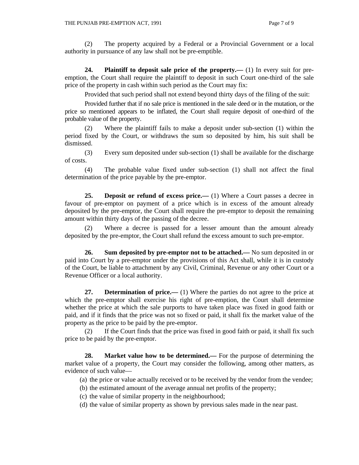(2) The property acquired by a Federal or a Provincial Government or a local authority in pursuance of any law shall not be pre-emptible.

 **24. Plaintiff to deposit sale price of the property.—** (1) In every suit for preemption, the Court shall require the plaintiff to deposit in such Court one-third of the sale price of the property in cash within such period as the Court may fix:

Provided that such period shall not extend beyond thirty days of the filing of the suit:

 Provided further that if no sale price is mentioned in the sale deed or in the mutation, or the price so mentioned appears to be inflated, the Court shall require deposit of one-third of the probable value of the property.

 (2) Where the plaintiff fails to make a deposit under sub-section (1) within the period fixed by the Court, or withdraws the sum so deposited by him, his suit shall be dismissed.

 (3) Every sum deposited under sub-section (1) shall be available for the discharge of costs.

 (4) The probable value fixed under sub-section (1) shall not affect the final determination of the price payable by the pre-emptor.

**25. Deposit or refund of excess price.**—(1) Where a Court passes a decree in favour of pre-emptor on payment of a price which is in excess of the amount already deposited by the pre-emptor, the Court shall require the pre-emptor to deposit the remaining amount within thirty days of the passing of the decree.

 (2) Where a decree is passed for a lesser amount than the amount already deposited by the pre-emptor, the Court shall refund the excess amount to such pre-emptor.

 **26. Sum deposited by pre-emptor not to be attached.—** No sum deposited in or paid into Court by a pre-emptor under the provisions of this Act shall, while it is in custody of the Court, be liable to attachment by any Civil, Criminal, Revenue or any other Court or a Revenue Officer or a local authority.

**27. Determination of price.**—(1) Where the parties do not agree to the price at which the pre-emptor shall exercise his right of pre-emption, the Court shall determine whether the price at which the sale purports to have taken place was fixed in good faith or paid, and if it finds that the price was not so fixed or paid, it shall fix the market value of the property as the price to be paid by the pre-emptor.

 (2) If the Court finds that the price was fixed in good faith or paid, it shall fix such price to be paid by the pre-emptor.

**28.** Market value how to be determined.— For the purpose of determining the market value of a property, the Court may consider the following, among other matters, as evidence of such value—

(a) the price or value actually received or to be received by the vendor from the vendee;

- (b) the estimated amount of the average annual net profits of the property;
- (c) the value of similar property in the neighbourhood;
- (d) the value of similar property as shown by previous sales made in the near past.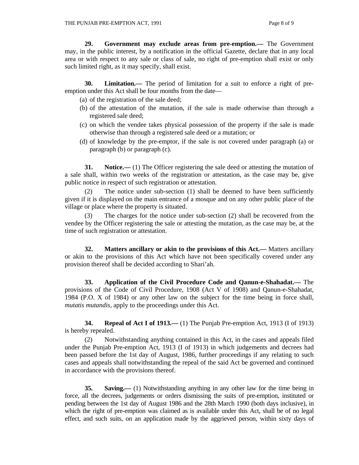**29. Government may exclude areas from pre-emption.—** The Government may, in the public interest, by a notification in the official Gazette, declare that in any local area or with respect to any sale or class of sale, no right of pre-emption shall exist or only such limited right, as it may specify, shall exist.

 **30. Limitation.—** The period of limitation for a suit to enforce a right of preemption under this Act shall be four months from the date—

- (a) of the registration of the sale deed;
- (b) of the attestation of the mutation, if the sale is made otherwise than through a registered sale deed;
- (c) on which the vendee takes physical possession of the property if the sale is made otherwise than through a registered sale deed or a mutation; or
- (d) of knowledge by the pre-emptor, if the sale is not covered under paragraph (a) or paragraph (b) or paragraph (c).

**31.** Notice.—— (1) The Officer registering the sale deed or attesting the mutation of a sale shall, within two weeks of the registration or attestation, as the case may be, give public notice in respect of such registration or attestation.

 (2) The notice under sub-section (1) shall be deemed to have been sufficiently given if it is displayed on the main entrance of a mosque and on any other public place of the village or place where the property is situated.

 (3) The charges for the notice under sub-section (2) shall be recovered from the vendee by the Officer registering the sale or attesting the mutation, as the case may be, at the time of such registration or attestation.

 **32. Matters ancillary or akin to the provisions of this Act.—** Matters ancillary or akin to the provisions of this Act which have not been specifically covered under any provision thereof shall be decided according to Shari'ah.

 **33. Application of the Civil Procedure Code and Qanun-e-Shahadat.—** The provisions of the Code of Civil Procedure, 1908 (Act V of 1908) and Qanun-e-Shahadat, 1984 (P.O. X of 1984) or any other law on the subject for the time being in force shall, *mutatis mutandis*, apply to the proceedings under this Act.

 **34. Repeal of Act I of 1913.—** (1) The Punjab Pre-emption Act, 1913 (I of 1913) is hereby repealed.

 (2) Notwithstanding anything contained in this Act, in the cases and appeals filed under the Punjab Pre-emption Act, 1913 (I of 1913) in which judgements and decrees had been passed before the 1st day of August, 1986, further proceedings if any relating to such cases and appeals shall notwithstanding the repeal of the said Act be governed and continued in accordance with the provisions thereof.

 **35. Saving.—** (1) Notwithstanding anything in any other law for the time being in force, all the decrees, judgements or orders dismissing the suits of pre-emption, instituted or pending between the 1st day of August 1986 and the 28th March 1990 (both days inclusive), in which the right of pre-emption was claimed as is available under this Act, shall be of no legal effect, and such suits, on an application made by the aggrieved person, within sixty days of